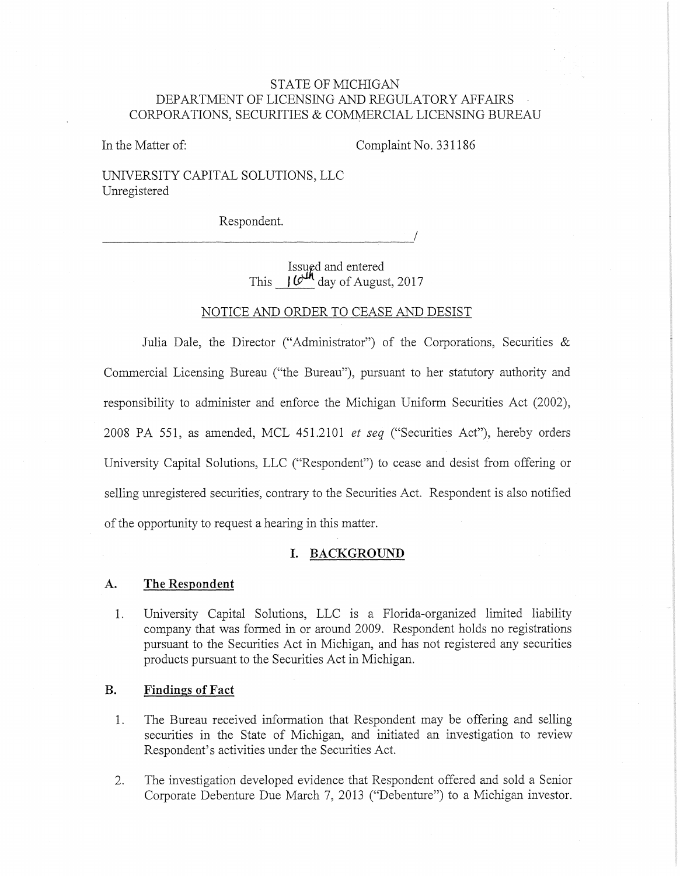# STATE OF MICHIGAN DEPARTMENT OF LICENSING AND REGULATORY AFFAIRS CORPORATIONS, SECURITIES & COMMERCIAL LICENSING BUREAU

In the Matter of: Complaint No. 331186

UNIVERSITY CAPITAL SOLUTIONS, LLC Unregistered

Respondent. Respondent.

> This  $\frac{164M}{164}$  day of August, 2017 Issued and entered

NOTICE AND ORDER TO CEASE AND DESIST

Julia Dale, the Director ("Administrator") of the Corporations, Securities & Commercial Licensing Bureau ("the Bureau"), pursuant to her statutory authority and responsibility to administer and enforce the Michigan Uniform Securities Act (2002), 2008 PA 551, as amended, MCL 451.2101 *et seq* ("Securities Act"), hereby orders University Capital Solutions, LLC ("Respondent") to cease and desist from offering or selling unregistered securities, contrary to the Securities Act. Respondent is also notified of the opportunity to request a hearing in this matter.

### **I. BACKGROUND**

#### **A. The Respondent**

1. University Capital Solutions, LLC is a Florida-organized limited liability company that was formed in or around 2009. Respondent holds no registrations pursuant to the Securities Act in Michigan, and has not registered any securities products pursuant to the Securities Act in Michigan.

### **B. Findings of Fact**

- 1. The Bureau received information that Respondent may be offering and selling securities in the State of Michigan, and initiated an investigation to review Respondent's activities under the Securities Act.
- 2. The investigation developed evidence that Respondent offered and sold a Senior Corporate Debenture Due March 7, 2013 ("Debenture") to a Michigan investor.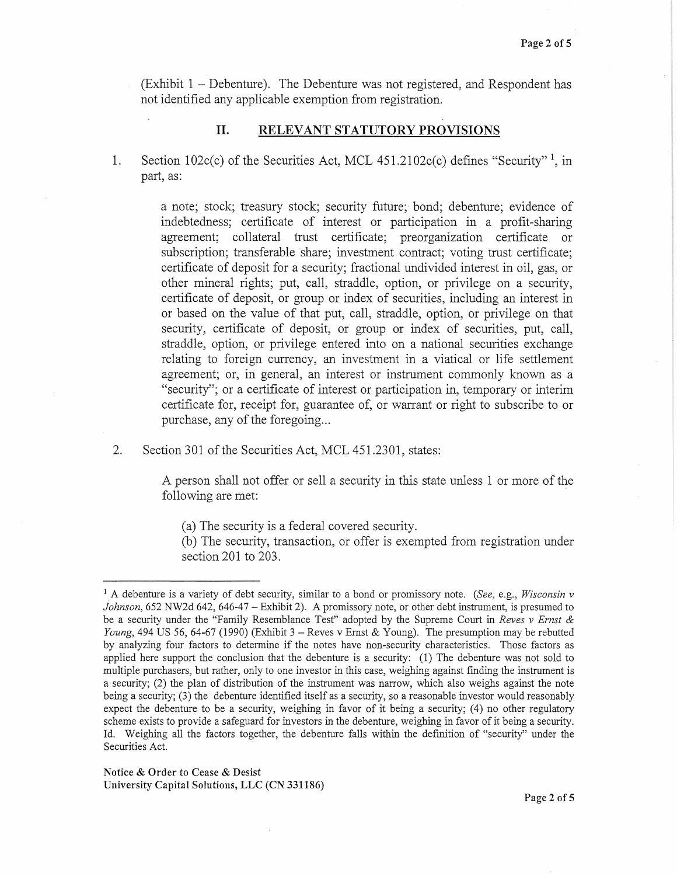(Exhibit 1 - Debenture). The Debenture was not registered, and Respondent has not identified any applicable exemption from registration.

### **II. RELEVANT STATUTORY PROVISIONS**

1. Section 102c(c) of the Securities Act, MCL 451.2102c(c) defines "Security"<sup>1</sup>, in part, as:

> a note; stock; treasury stock; security future; bond; debenture; evidence of indebtedness; certificate of interest or participation in a profit-sharing agreement; collateral trust certificate; preorganization certificate or subscription; transferable share; investment contract; voting trust certificate; certificate of deposit for a security; fractional undivided interest in oil, gas, or other mineral rights; put, call, straddle, option, or privilege on a security, certificate of deposit, or group or index of securities, including an interest in or based on the value of that put, call, straddle, option, or privilege on that security, certificate of deposit, or group or index of securities, put, call, straddle, option, or privilege entered into on a national securities exchange relating to foreign currency, an investment in a viatical or life settlement agreement; or, in general, an interest or instrument commonly known as a "security"; or a certificate of interest or participation in, temporary or interim certificate for, receipt for, guarantee of, or warrant or right to subscribe to or purchase, any of the foregoing...

2. Section 301 of the Securities Act, MCL 451.2301, states:

A person shall not offer or sell a security in this state unless 1 or more of the following are met:

(a) The security is a federal covered security.

(b) The security, transaction, or offer is exempted from registration under section 201 to 203.

<sup>1</sup> A debenture is a variety of debt security, similar to a bond or promissory note. *(See,* e.g., *Wisconsin v Johnson,* 652 NW2d 642, 646-47 Exhibit 2). A promissory note, or other debt instrument, is presumed to be a security under the "Family Resemblance Test" adopted by the Supreme Court in *Reves v Ernst & Young,* 494 US 56, 64-67 (1990) (Exhibit  $3 -$  Reves v Ernst & Young). The presumption may be rebutted by analyzing four factors to determine if the notes have non-security characteristics. Those factors as applied here support the conclusion that the debenture is a security: (1) The debenture was not sold to multiple purchasers, but rather, only to one investor in this case, weighing against finding the instrument is a security; (2) the plan of distribution of the instrument was narrow, which also weighs against the note being a security; (3) the debenture identified itself as a security, so a reasonable investor would reasonably expect the debenture to be a security, weighing in favor of it being a security; (4) no other regulatory scheme exists to provide a safeguard for investors in the debenture, weighing in favor ofit being a security. Id. Weighing all the factors together, the debenture falls within the defmition of "security" under the Securities Act.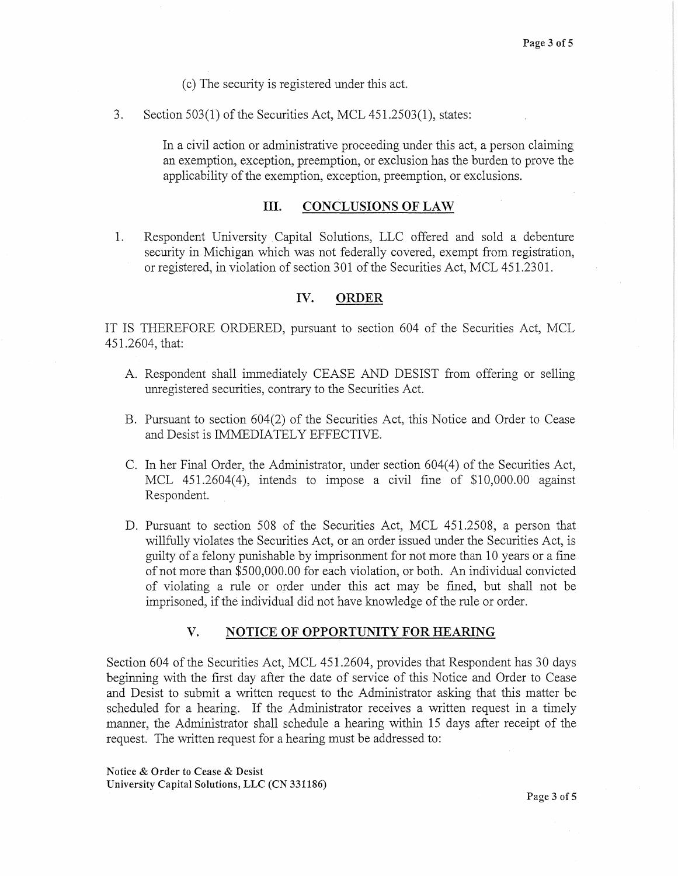( c) The security is registered under this act.

3. Section 503(1) of the Securities Act, MCL 451.2503(1), states:

In a civil action or administrative proceeding under this act, a person claiming an exemption, exception, preemption, or exclusion has the burden to prove the applicability of the exemption, exception, preemption, or exclusions.

#### III. **CONCLUSIONS OF LAW**

1. Respondent University Capital Solutions, LLC offered and sold a debenture security in Michigan which was not federally covered, exempt from registration, or registered, in violation of section 301 of the Securities Act, MCL 451.2301.

#### IV. **ORDER**

IT IS THEREFORE ORDERED, pursuant to section 604 of the Securities Act, MCL 451.2604, that:

- A. Respondent shall immediately CEASE AND DESIST from offering or selling unregistered securities, contrary to the Securities Act.
- B. Pursuant to section 604(2) of the Securities Act, this Notice and Order to Cease and Desist is IMMEDIATELY EFFECTIVE.
- C. In her Final Order, the Administrator, under section 604(4) of the Securities Act, MCL 451.2604(4), intends to impose a civil fine of \$10,000.00 against Respondent.
- D. Pursuant to section 508 of the Securities Act, MCL 451.2508, a person that willfully violates the Securities Act, or an order issued under the Securities Act, is guilty of a felony punishable by imprisonment for not more than 10 years or a fine of not more than \$500,000.00 for each violation, or both. An individual convicted of violating a rule or order under this act may be fined, but shall not be imprisoned, if the individual did not have knowledge of the rule or order.

#### **V. NOTICE OF OPPORTUNITY FOR HEARING**

Section 604 of the Securities Act, MCL 451.2604, provides that Respondent has 30 days beginning with the first day after the date of service of this Notice and Order to Cease and Desist to submit a written request to the Administrator asking that this matter be scheduled for a hearing. If the Administrator receives a written request in a timely manner, the Administrator shall schedule a hearing within 15 days after receipt of the request. The written request for a hearing must be addressed to: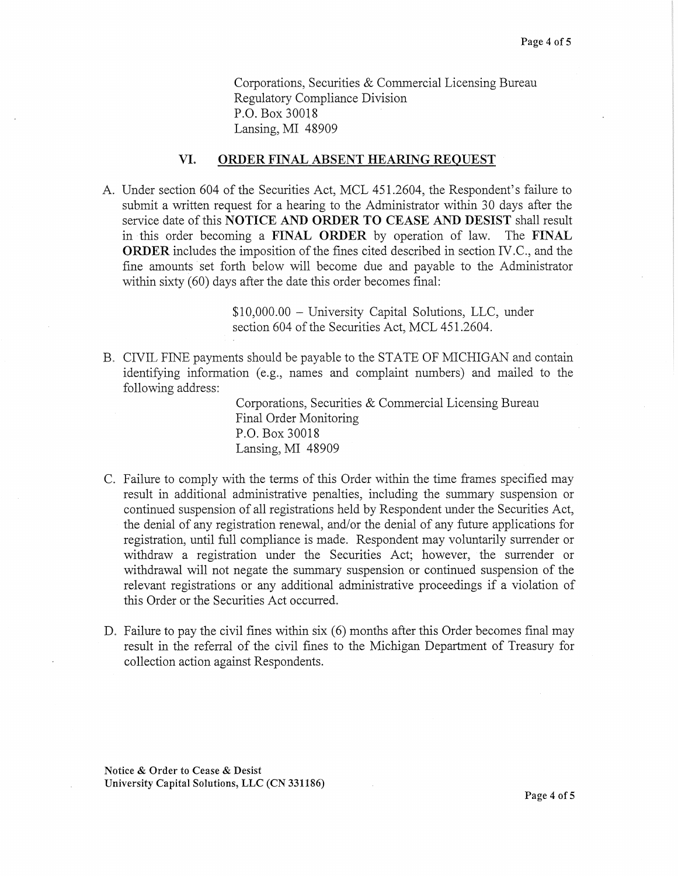Corporations, Securities & Commercial Licensing Bureau Regulatory Compliance Division P.O. Box 30018 Lansing, MI 48909

## **VI. ORDER FINAL ABSENT HEARING REQUEST**

A. Under section 604 of the Securities Act, MCL 451.2604, the Respondent's failure to submit a written request for a hearing to the Administrator within 30 days after the service date of this **NOTICE AND ORDER TO CEASE AND DESIST** shall result in this order becoming a **FINAL ORDER** by operation of law. The **FINAL ORDER** includes the imposition of the fines cited described in section IV.C., and the fine amounts set forth below will become due and payable to the Administrator within sixty (60) days after the date this order becomes final:

> $$10,000.00 -$  University Capital Solutions, LLC, under section 604 of the Securities Act, MCL 451.2604.

B. CIVIL FINE payments should be payable to the STATE OF MICHIGAN and contain identifying information (e.g., names and complaint numbers) and mailed to the following address:

> Corporations, Securities & Commercial Licensing Bureau Final Order Monitoring P.O. Box 30018 Lansing, MI 48909

- C. Failure to comply with the terms of this Order within the time frames specified may result in additional administrative penalties, including the summary suspension or continued suspension of all registrations held by Respondent under the Securities Act, the denial of any registration renewal, and/or the denial of any future applications for registration, until full compliance is made. Respondent may voluntarily surrender or withdraw a registration under the Securities Act; however, the surrender or withdrawal will not negate the summary suspension or continued suspension of the relevant registrations or any additional administrative proceedings if a violation of this Order or the Securities Act occurred.
- D. Failure to pay the civil fines within six (6) months after this Order becomes final may result in the referral of the civil fines to the Michigan Department of Treasury for collection action against Respondents.